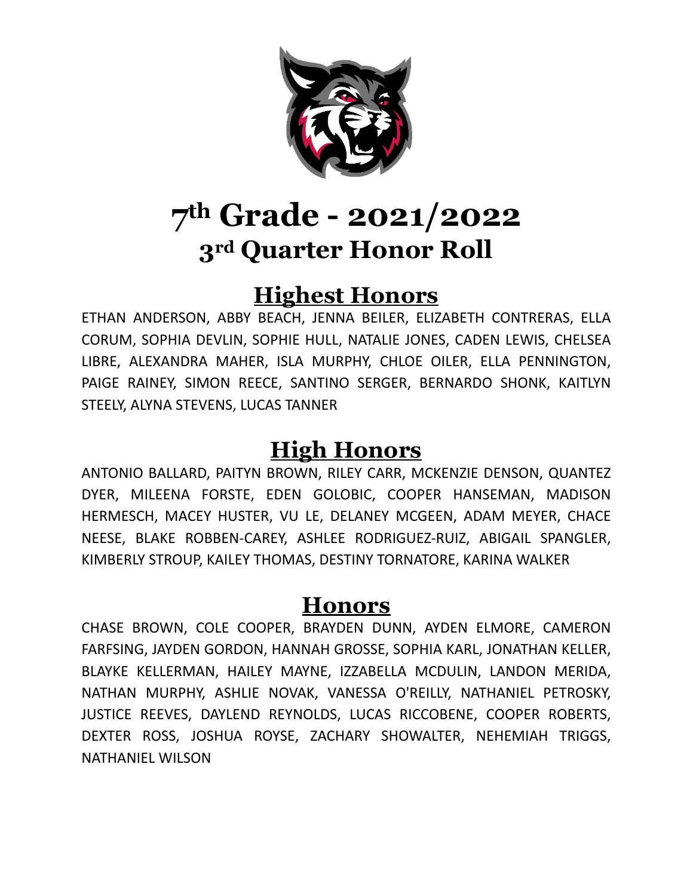

#### **Highest Honors**

ETHAN ANDERSON, ABBY BEACH, JENNA BEILER, ELIZABETH CONTRERAS, ELLA CORUM, SOPHIA DEVLIN, SOPHIE HULL, NATALIE JONES, CADEN LEWIS, CHELSEA LIBRE, ALEXANDRA MAHER, ISLA MURPHY, CHLOE OILER, ELLA PENNINGTON, PAIGE RAINEY, SIMON REECE, SANTINO SERGER, BERNARDO SHONK, KAITLYN STEELY, ALYNA STEVENS, LUCAS TANNER

#### **High Honors**

ANTONIO BALLARD, PAITYN BROWN, RILEY CARR, MCKENZIE DENSON, QUANTEZ DYER, MILEENA FORSTE, EDEN GOLOBIC, COOPER HANSEMAN, MADISON HERMESCH, MACEY HUSTER, VU LE, DELANEY MCGEEN, ADAM MEYER, CHACE NEESE, BLAKE ROBBEN-CAREY, ASHLEE RODRIGUEZ-RUIZ, ABIGAIL SPANGLER, KIMBERLY STROUP, KAILEY THOMAS, DESTINY TORNATORE, KARINA WALKER

#### **Honors**

CHASE BROWN, COLE COOPER, BRAYDEN DUNN, AYDEN ELMORE, CAMERON FARFSING, JAYDEN GORDON, HANNAH GROSSE, SOPHIA KARL, JONATHAN KELLER, BLAYKE KELLERMAN, HAILEY MAYNE, IZZABELLA MCDULIN, LANDON MERIDA, NATHAN MURPHY, ASHLIE NOVAK, VANESSA O'REILLY, NATHANIEL PETROSKY, JUSTICE REEVES, DAYLEND REYNOLDS, LUCAS RICCOBENE, COOPER ROBERTS, DEXTER ROSS, JOSHUA ROYSE, ZACHARY SHOWALTER, NEHEMIAH TRIGGS, NATHANIEL WILSON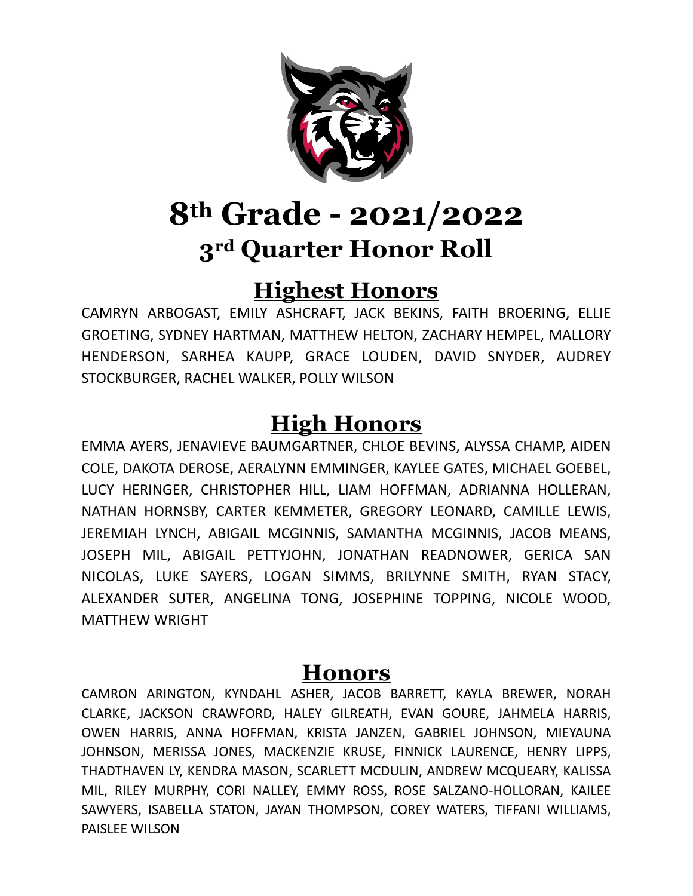

#### **Highest Honors**

CAMRYN ARBOGAST, EMILY ASHCRAFT, JACK BEKINS, FAITH BROERING, ELLIE GROETING, SYDNEY HARTMAN, MATTHEW HELTON, ZACHARY HEMPEL, MALLORY HENDERSON, SARHEA KAUPP, GRACE LOUDEN, DAVID SNYDER, AUDREY STOCKBURGER, RACHEL WALKER, POLLY WILSON

### **High Honors**

EMMA AYERS, JENAVIEVE BAUMGARTNER, CHLOE BEVINS, ALYSSA CHAMP, AIDEN COLE, DAKOTA DEROSE, AERALYNN EMMINGER, KAYLEE GATES, MICHAEL GOEBEL, LUCY HERINGER, CHRISTOPHER HILL, LIAM HOFFMAN, ADRIANNA HOLLERAN, NATHAN HORNSBY, CARTER KEMMETER, GREGORY LEONARD, CAMILLE LEWIS, JEREMIAH LYNCH, ABIGAIL MCGINNIS, SAMANTHA MCGINNIS, JACOB MEANS, JOSEPH MIL, ABIGAIL PETTYJOHN, JONATHAN READNOWER, GERICA SAN NICOLAS, LUKE SAYERS, LOGAN SIMMS, BRILYNNE SMITH, RYAN STACY, ALEXANDER SUTER, ANGELINA TONG, JOSEPHINE TOPPING, NICOLE WOOD, MATTHEW WRIGHT

#### **Honors**

CAMRON ARINGTON, KYNDAHL ASHER, JACOB BARRETT, KAYLA BREWER, NORAH CLARKE, JACKSON CRAWFORD, HALEY GILREATH, EVAN GOURE, JAHMELA HARRIS, OWEN HARRIS, ANNA HOFFMAN, KRISTA JANZEN, GABRIEL JOHNSON, MIEYAUNA JOHNSON, MERISSA JONES, MACKENZIE KRUSE, FINNICK LAURENCE, HENRY LIPPS, THADTHAVEN LY, KENDRA MASON, SCARLETT MCDULIN, ANDREW MCQUEARY, KALISSA MIL, RILEY MURPHY, CORI NALLEY, EMMY ROSS, ROSE SALZANO-HOLLORAN, KAILEE SAWYERS, ISABELLA STATON, JAYAN THOMPSON, COREY WATERS, TIFFANI WILLIAMS, PAISLEE WILSON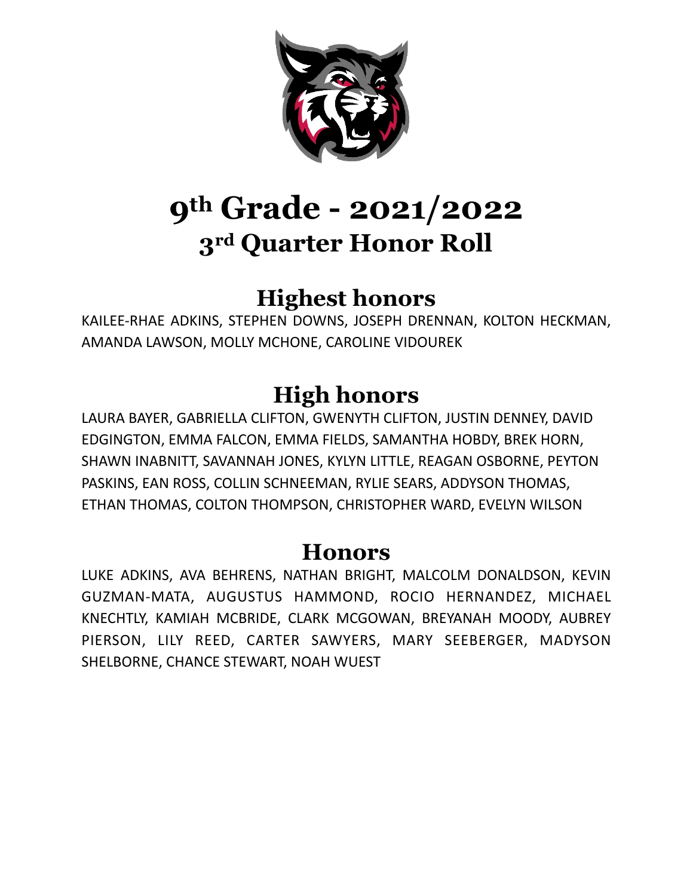

## **Highest honors**

KAILEE-RHAE ADKINS, STEPHEN DOWNS, JOSEPH DRENNAN, KOLTON HECKMAN, AMANDA LAWSON, MOLLY MCHONE, CAROLINE VIDOUREK

## **High honors**

LAURA BAYER, GABRIELLA CLIFTON, GWENYTH CLIFTON, JUSTIN DENNEY, DAVID EDGINGTON, EMMA FALCON, EMMA FIELDS, SAMANTHA HOBDY, BREK HORN, SHAWN INABNITT, SAVANNAH JONES, KYLYN LITTLE, REAGAN OSBORNE, PEYTON PASKINS, EAN ROSS, COLLIN SCHNEEMAN, RYLIE SEARS, ADDYSON THOMAS, ETHAN THOMAS, COLTON THOMPSON, CHRISTOPHER WARD, EVELYN WILSON

#### **Honors**

LUKE ADKINS, AVA BEHRENS, NATHAN BRIGHT, MALCOLM DONALDSON, KEVIN GUZMAN-MATA, AUGUSTUS HAMMOND, ROCIO HERNANDEZ, MICHAEL KNECHTLY, KAMIAH MCBRIDE, CLARK MCGOWAN, BREYANAH MOODY, AUBREY PIERSON, LILY REED, CARTER SAWYERS, MARY SEEBERGER, MADYSON SHELBORNE, CHANCE STEWART, NOAH WUEST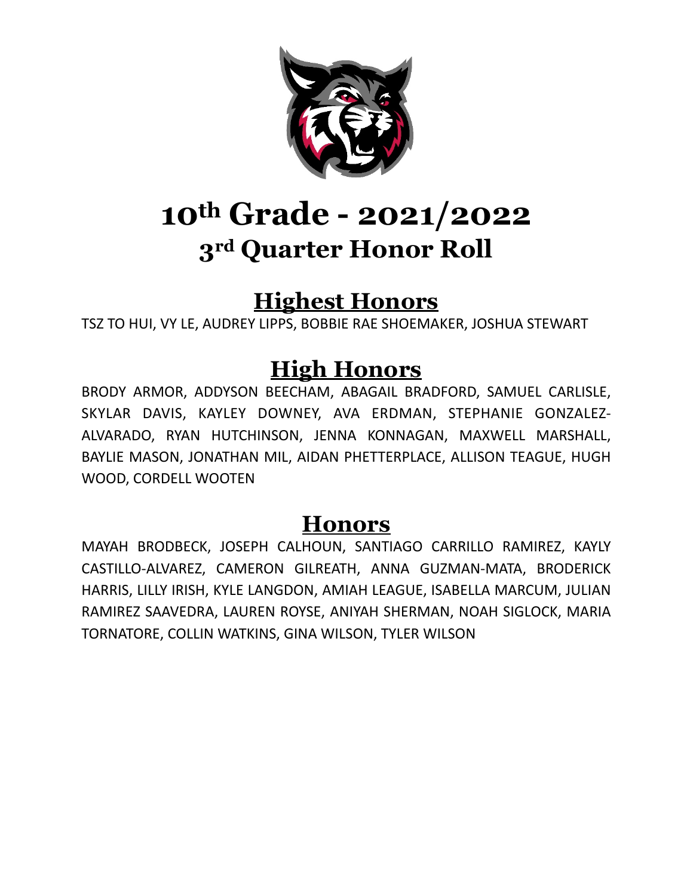

### **Highest Honors**

TSZ TO HUI, VY LE, AUDREY LIPPS, BOBBIE RAE SHOEMAKER, JOSHUA STEWART

### **High Honors**

BRODY ARMOR, ADDYSON BEECHAM, ABAGAIL BRADFORD, SAMUEL CARLISLE, SKYLAR DAVIS, KAYLEY DOWNEY, AVA ERDMAN, STEPHANIE GONZALEZ-ALVARADO, RYAN HUTCHINSON, JENNA KONNAGAN, MAXWELL MARSHALL, BAYLIE MASON, JONATHAN MIL, AIDAN PHETTERPLACE, ALLISON TEAGUE, HUGH WOOD, CORDELL WOOTEN

#### **Honors**

MAYAH BRODBECK, JOSEPH CALHOUN, SANTIAGO CARRILLO RAMIREZ, KAYLY CASTILLO-ALVAREZ, CAMERON GILREATH, ANNA GUZMAN-MATA, BRODERICK HARRIS, LILLY IRISH, KYLE LANGDON, AMIAH LEAGUE, ISABELLA MARCUM, JULIAN RAMIREZ SAAVEDRA, LAUREN ROYSE, ANIYAH SHERMAN, NOAH SIGLOCK, MARIA TORNATORE, COLLIN WATKINS, GINA WILSON, TYLER WILSON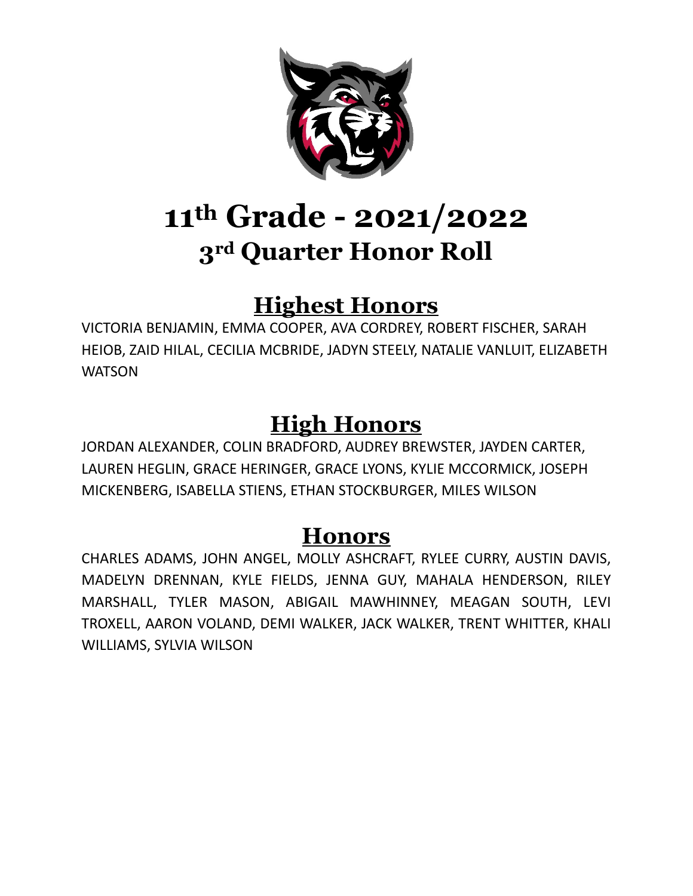

### **Highest Honors**

VICTORIA BENJAMIN, EMMA COOPER, AVA CORDREY, ROBERT FISCHER, SARAH HEIOB, ZAID HILAL, CECILIA MCBRIDE, JADYN STEELY, NATALIE VANLUIT, ELIZABETH **WATSON** 

### **High Honors**

JORDAN ALEXANDER, COLIN BRADFORD, AUDREY BREWSTER, JAYDEN CARTER, LAUREN HEGLIN, GRACE HERINGER, GRACE LYONS, KYLIE MCCORMICK, JOSEPH MICKENBERG, ISABELLA STIENS, ETHAN STOCKBURGER, MILES WILSON

#### **Honors**

CHARLES ADAMS, JOHN ANGEL, MOLLY ASHCRAFT, RYLEE CURRY, AUSTIN DAVIS, MADELYN DRENNAN, KYLE FIELDS, JENNA GUY, MAHALA HENDERSON, RILEY MARSHALL, TYLER MASON, ABIGAIL MAWHINNEY, MEAGAN SOUTH, LEVI TROXELL, AARON VOLAND, DEMI WALKER, JACK WALKER, TRENT WHITTER, KHALI WILLIAMS, SYLVIA WILSON